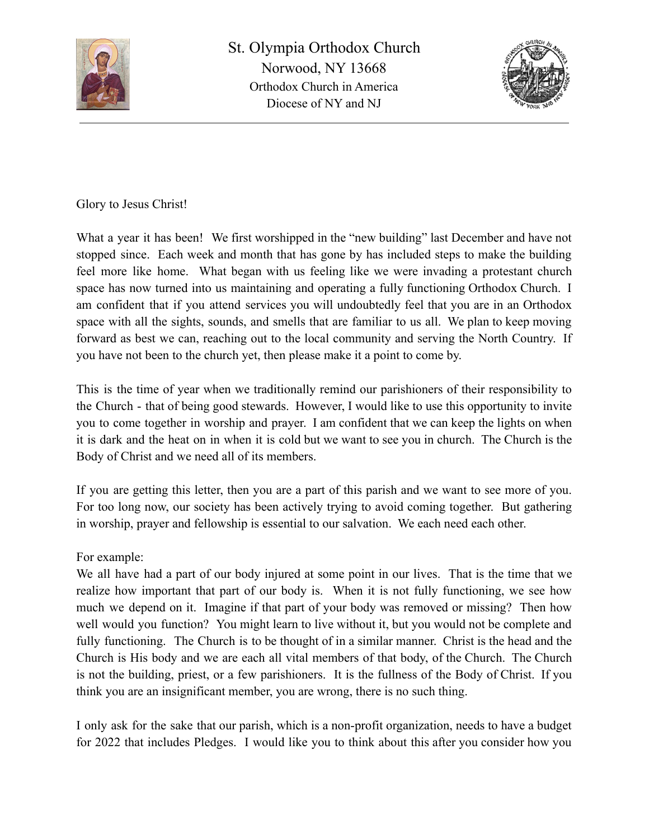



Glory to Jesus Christ!

What a year it has been! We first worshipped in the "new building" last December and have not stopped since. Each week and month that has gone by has included steps to make the building feel more like home. What began with us feeling like we were invading a protestant church space has now turned into us maintaining and operating a fully functioning Orthodox Church. I am confident that if you attend services you will undoubtedly feel that you are in an Orthodox space with all the sights, sounds, and smells that are familiar to us all. We plan to keep moving forward as best we can, reaching out to the local community and serving the North Country. If you have not been to the church yet, then please make it a point to come by.

This is the time of year when we traditionally remind our parishioners of their responsibility to the Church - that of being good stewards. However, I would like to use this opportunity to invite you to come together in worship and prayer. I am confident that we can keep the lights on when it is dark and the heat on in when it is cold but we want to see you in church. The Church is the Body of Christ and we need all of its members.

If you are getting this letter, then you are a part of this parish and we want to see more of you. For too long now, our society has been actively trying to avoid coming together. But gathering in worship, prayer and fellowship is essential to our salvation. We each need each other.

## For example:

We all have had a part of our body injured at some point in our lives. That is the time that we realize how important that part of our body is. When it is not fully functioning, we see how much we depend on it. Imagine if that part of your body was removed or missing? Then how well would you function? You might learn to live without it, but you would not be complete and fully functioning. The Church is to be thought of in a similar manner. Christ is the head and the Church is His body and we are each all vital members of that body, of the Church. The Church is not the building, priest, or a few parishioners. It is the fullness of the Body of Christ. If you think you are an insignificant member, you are wrong, there is no such thing.

I only ask for the sake that our parish, which is a non-profit organization, needs to have a budget for 2022 that includes Pledges. I would like you to think about this after you consider how you